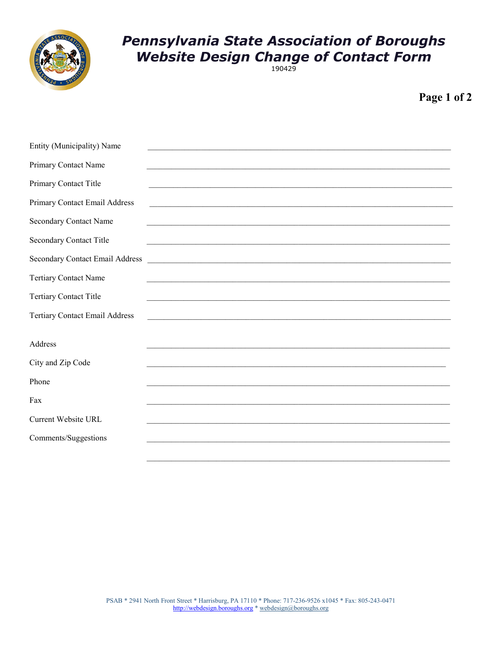

## **Pennsylvania State Association of Boroughs Website Design Change of Contact Form**

Page 1 of 2

| Entity (Municipality) Name            |                                                                                                                     |
|---------------------------------------|---------------------------------------------------------------------------------------------------------------------|
| Primary Contact Name                  |                                                                                                                     |
| Primary Contact Title                 | <u> 1989 - Johann John Stoff, deutscher Stoffen und der Stoffen und der Stoffen und der Stoffen und der Stoffen</u> |
| Primary Contact Email Address         |                                                                                                                     |
| <b>Secondary Contact Name</b>         |                                                                                                                     |
| <b>Secondary Contact Title</b>        |                                                                                                                     |
| Secondary Contact Email Address       |                                                                                                                     |
| <b>Tertiary Contact Name</b>          |                                                                                                                     |
| <b>Tertiary Contact Title</b>         |                                                                                                                     |
| <b>Tertiary Contact Email Address</b> |                                                                                                                     |
|                                       |                                                                                                                     |
| Address                               |                                                                                                                     |
| City and Zip Code                     |                                                                                                                     |
| Phone                                 |                                                                                                                     |
| Fax                                   |                                                                                                                     |
| <b>Current Website URL</b>            |                                                                                                                     |
| Comments/Suggestions                  |                                                                                                                     |
|                                       |                                                                                                                     |